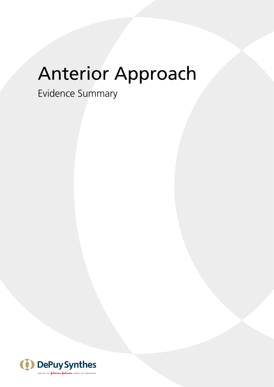# Anterior Approach

Evidence Summary

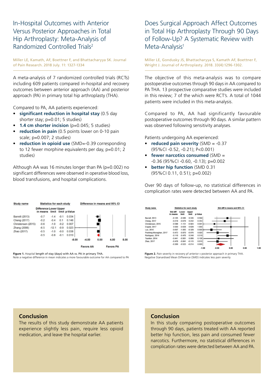In-Hospital Outcomes with Anterior Versus Posterior Approaches in Total Hip Arthroplasty: Meta-Analysis of Randomized Controlled Trials2

Miller LE, Kamath, AF, Boettner F, and Bhattacharyya SK. Journal of Pain Research. 2018 July. 11: 1327-1334

A meta-analysis of 7 randomized controlled trials (RCTs) including 609 patients compared in-hospital and recovery outcomes between anterior approach (AA) and posterior approach (PA) in primary total hip arthroplasty (THA).

Compared to PA, AA patients experienced:

- **significant reduction in hospital stay** (0.5 day shorter stay; p=0.01; 5 studies)
- **1.4 cm shorter incision** (p=0.045; 5 studies)
- **reduction in pain** (0.5 points lower on 0-10 pain scale; p=0.007; 2 studies)
- **reduction in opioid use** (SMD=-0.39 corresponding to 12 fewer morphine equivalents per day, p=0.01; 2 studies)

Although AA was 16 minutes longer than PA ( $p=0.002$ ) no significant differences were observed in operative blood loss, blood transfusions, and hospital complications.

| Study name         | Statistics for each study                 |         |        | Difference in means and 95% CI |                  |      |                  |      |
|--------------------|-------------------------------------------|---------|--------|--------------------------------|------------------|------|------------------|------|
|                    | <b>Difference Lower Upper</b><br>in means | limit   |        | limit p-Value                  |                  |      |                  |      |
| Barrett (2013)     | $-0.7$                                    | $-1.4$  | $-0.1$ | 0.034                          |                  |      |                  |      |
| Cheng (2017)       | $-0.2$                                    | $-0.4$  | 0.1    | 0.146                          |                  |      |                  |      |
| Christensen (2015) | $-0.6$                                    | $-1.0$  | $-0.2$ | 0.007                          |                  |      |                  |      |
| Zhang (2006)       | $-6.5$                                    | $-12.1$ | $-0.9$ | 0.023                          |                  |      |                  |      |
| Zhao (2017)        | $-0.5$                                    | $-1.0$  | $-0.0$ | 0.038                          |                  |      |                  |      |
|                    | $-0.5$                                    | $-0.8$  | $-0.1$ | 0.010                          |                  |      |                  |      |
|                    |                                           |         |        | $-8.00$                        | $-4.00$          | 0.00 | 4.00             | 8.00 |
|                    |                                           |         |        |                                | <b>Favors AA</b> |      | <b>Favors PA</b> |      |

**Figure 1.** Hospital length of stay (days) with AA vs. PA in primary THA. Note a negative difference in mean indicates a more favourable outcome for AA compared to PA

Does Surgical Approach Affect Outcomes in Total Hip Arthroplasty Through 90 Days of Follow-Up? A Systematic Review with Meta-Analysis<sup>1</sup>

Miller LE, Gondusky JS, Bhattacharyya S, Kamath AF, Boettner F, Wright J. Journal of Arthroplasty. 2018. 33(4):1296-1302.

The objective of this meta-analysis was to compare postoperative outcomes through 90 days in AA compared to PA THA. 13 prospective comparative studies were included in this review; 7 of the which were RCT's. A total of 1044 patients were included in this meta-analysis.

Compared to PA, AA had significantly favourable postoperative outcomes through 90 days. A similar pattern was observed following sensitivity analyses.

Patients undergoing AA experienced:

- **reduced pain severity** (SMD = -0.37 (95%CI -0.52, -0.21); P<0.001)
- **fewer narcotics consumed** (SMD = -0.36 (95%CI -0.60, -0.13); p=0.002
- **better hip function** (SMD 0.31 (95%CI 0.11, 0.51); p=0.002)

Over 90 days of follow-up, no statistical differences in complication rates were detected between AA and PA.

| Study name              | Statistics for each study |                      |                |            |         | Std diff in means and 95% CI |  |  |
|-------------------------|---------------------------|----------------------|----------------|------------|---------|------------------------------|--|--|
|                         | Std diff<br>in means      | Lower<br><b>Bend</b> | Upper<br>limit | p-Value    |         |                              |  |  |
| Barrett, 2013           | $-0.125$                  | $-0.585$             | 0.335          | 0.594      |         |                              |  |  |
| Cheng, 2017             | $-0.218$                  | $-0.679$             | 0.242          | 0.353      |         |                              |  |  |
| Christiensen, 2015      | $-0.588$                  | $-1.151$             | $-0.024$       | $0.041 - $ |         |                              |  |  |
| Engdal, 2017            | 0.000                     | $-0.628$             | 0.628          | 1.000      |         |                              |  |  |
| Luo. 2016               | $-0.097$                  | $-1.065$             | $-0.328$       | 0.0006     |         |                              |  |  |
| Poehling-Monaghan, 2017 | $-0.473$                  | $-0.870$             | $-0.076$       | 0.020      |         |                              |  |  |
| Rodriguez, 2014         | $-0.118$                  | $-0.476$             | 0.240          | 0.519      |         |                              |  |  |
| Taunton, 2014           | $-0.441$                  | $-0.981$             | 0.099          | 0.109      |         |                              |  |  |
| Zhao, 2017              | $-0.478$                  | $-0.841$             | $-0.115$       | 0.010      |         |                              |  |  |
|                         | $-0.369$                  | $-0.523$             | $-0.214$       | 0.000      |         |                              |  |  |
|                         |                           |                      |                | $-1.00$    | $-0.50$ | 0.00                         |  |  |

Figure 2. Pain severity in recovery pf anterior v posterior approach in primary THA. Negative Stanardised Mean Difference (SMD) indicates less pain severity

### **Conclusion**

The results of this study demonstrate AA patients experience slightly less pain, require less opioid medication, and leave the hospital earlier.

### **Conclusion**

In this study comparing postoperative outcomes through 90 days, patients treated with AA reported better hip function, less pain and consumed fewer narcotics. Furthermore, no statistical differences in complication rates were detected between AA and PA.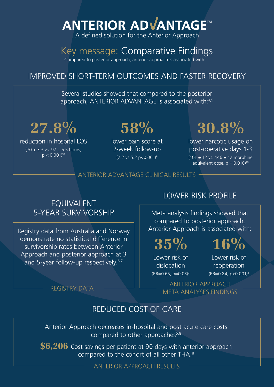# **ANTERIOR ADVANTAGE™**

A defined solution for the Anterior Approach

# Key message: Comparative Findings

Compared to posterior approach, anterior approach is associated with

# IMPROVED SHORT-TERM OUTCOMES AND FASTER RECOVERY

Several studies showed that compared to the posterior approach, ANTERIOR ADVANTAGE is associated with:<sup>4,5</sup>

**27.8% 58%**

reduction in hospital LOS  $(70 \pm 3.3 \text{ vs. } 97 \pm 5.5 \text{ hours})$  $p < 0.001$ <sup>10</sup>

lower pain score at 2-week follow-up  $(2.2 \text{ vs } 5.2 \text{ p} < 0.001)^9$ 

# **30.8%**

lower narcotic usage on post-operative days 1-3  $(101 \pm 12 \text{ vs. } 146 \pm 12 \text{ morphine})$ equivalent dose,  $p = 0.010$ <sup>10</sup>

## ANTERIOR ADVANTAGE CLINICAL RESULTS

## EQUIVALENT 5-YEAR SURVIVORSHIP

Registry data from Australia and Norway demonstrate no statistical difference in survivorship rates between Anterior Approach and posterior approach at 3 and 5-year follow-up respectively.<sup>6,7</sup>

# LOWER RISK PROFILE

Meta analysis findings showed that compared to posterior approach, Anterior Approach is associated with:

**35% 16%**

Lower risk of dislocation  $(RR=0.65, p=0.03)^3$  Lower risk of reoperation

 $(RR=0.84, p<0.001)^3$ 

REGISTRY DATA  $\begin{array}{ccc} & \begin{array}{ccc} & \end{array} & \begin{array}{ccc} \end{array} & \begin{array}{ccc} \end{array} & \begin{array}{ccc} \end{array} & \begin{array}{ccc} \end{array} & \begin{array}{ccc} \end{array} & \begin{array}{ccc} \end{array} & \begin{array}{ccc} \end{array} & \begin{array}{ccc} \end{array} & \begin{array}{ccc} \end{array} & \begin{array}{ccc} \end{array} & \begin{array}{ccc} \end{array} & \begin{array}{ccc} \end{array} & \begin{array}{ccc} \end{array} & \begin{array}{ccc} \end{array} & \begin{$ META ANALYSES FINDINGS

## REDUCED COST OF CARE

Anterior Approach decreases in-hospital and post acute care costs compared to other approaches $5,8$ 

**\$6,206** Cost savings per patient at 90 days with anterior approach compared to the cohort of all other THA.<sup>8</sup>

ANTERIOR APPROACH RESULTS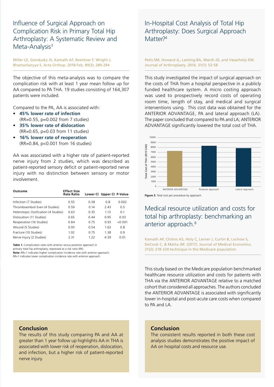Influence of Surgical Approach on Complication Risk in Primary Total Hip Arthroplasty: A Systematic Review and Meta-Analysis<sup>3</sup>

Miller LE, Gondusky JS, Kamath AF, Boettner F, Wright J, Bhattacharyya S. Acta Orthop. 2018 Feb. 89(3): 289-294

The objective of this meta-analysis was to compare the complication risk with at least 1 year mean follow up for AA compared to PA THA. 19 studies consisting of 164,307 patients were included.

Compared to the PA, AA is associated with:

- **45% lower rate of infection** (RR=0.55, p=0.002 from 7 studies)
- **35% lower rate of dislocation** (RR=0.65, p=0.03 from 11 studies)
- **16% lower rate of reoperation** (RR=0.84, p<0.001 from 16 studies)

AA was associated with a higher rate of patient-reported nerve injury from 2 studies, which was described as patient-reported sensory deficit or patient-reported nerve injury with no distinction between sensory or motor involvement.

| Outcome                              | <b>Effect Size</b><br><b>Rate Ratio</b> |      | Lower Cl Upper Cl P-Value |         |
|--------------------------------------|-----------------------------------------|------|---------------------------|---------|
| Infection (7 Studies)                | 0.55                                    | 0.38 | 0.8                       | 0.002   |
| Thromboemboli Even (4 Studies)       | 0.59                                    | 0.14 | 2.43                      | 0.5     |
| Heterotopic Ossification (4 Studies) | 0.63                                    | 0.35 | 1 1 3                     | 0.1     |
| Dislocation (11 Studies)             | 0.65                                    | 0.44 | O 95                      | 0.03    |
| Reoperation (16 Studies)             | 0.84                                    | 0.75 | 0.93                      | < 0.001 |
| Wound (5 Studies)                    | 0.93                                    | 0.54 | 1.63                      | 0.8     |
| Fracture (10 Studies)                | 1.02                                    | 0.75 | 1.38                      | 0.9     |
| Nerve Injury (2 Studies)             | 2.31                                    | 1 22 | 439                       | 0.01    |

**Table 1.** Complication rates with anterior versus posterior approach in

primary total hip arthroplasty; expressed as a risk ratio (RR).

**Note:** RR>1 indicates higher complication incidence rate with anterior approach; RR<1 indicates lower complication incidence rate with anterior approach

### In-Hospital Cost Analysis of Total Hip Arthroplasty: Does Surgical Approach Matter<sup>74</sup>

Petis SM, Howard JL, Lanting BA, Marsh JD, and Vasarhelyi EM. Journal of Arthroplasty. 2016. 31(1): 53-58

This study investigated the impact of surgical approach on the costs of THA from a hospital perspective in a publicly funded healthcare system. A micro costing approach was used to prospectively record costs of operating room time, length of stay, and medical and surgical interventions using. This cost data was obtained for the ANTERIOR ADVANTAGE, PA and lateral approach (LA). The paper concluded that compared to PA and LA; ANTERIOR ADVANTAGE significantly lowered the total cost of THA.



**Figure 3.** Total cost per procedure by approach

## Medical resource utilization and costs for total hip arthroplasty: benchmarking an anterior approach.<sup>8</sup>

Kamath AF, Chitnis AS, Holy C, Lerner J, Curtin B, Lochow S, DeCook C, & Matta JM. (2017). Journal of Medical Economics. 21(2): 218-224 technique in the Medicare population

This study based on the Medicare population benchmarked healthcare resource utilization and costs for patients with THA via the ANTERIOR ADVANTAGE relative to a matched cohort that considered all approaches. The authors concluded the ANTERIOR ADVANTAGE is associated with significantly lower in-hospital and post-acute care costs when compared to PA and LA.

### **Conclusion**

The results of this study comparing PA and AA at greater than 1 year follow up highlights AA in THA is associated with lower risk of reoperation, dislocation, and infection, but a higher risk of patient-reported nerve injury.

### **Conclusion**

The consistent results reported in both these cost analysis studies demonstrates the positive impact of AA on hospital costs and resource use.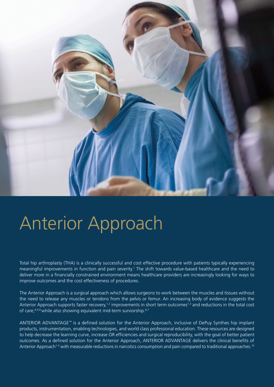

# Anterior Approach

Total hip arthroplasty (THA) is a clinically successful and cost effective procedure with patients typically experiencing meaningful improvements in function and pain severity.<sup>1</sup> The shift towards value-based healthcare and the need to deliver more in a financially constrained environment means healthcare providers are increasingly looking for ways to improve outcomes and the cost effectiveness of procedures.

The Anterior Approach is a surgical approach which allows surgeons to work between the muscles and tissues without the need to release any muscles or tendons from the pelvis or femur. An increasing body of evidence suggests the Anterior Approach supports faster recovery,<sup>1,2</sup> improvements in short term outcomes<sup>1,3</sup> and reductions in the total cost of care: $4.5,8$  while also showing equivalent mid-term surviorship. $6.7$ 

ANTERIOR ADVANTAGE™ is a defined solution for the Anterior Approach, inclusive of DePuy Synthes hip implant products, instrumentation, enabling technologies, and world class professional education. These resources are designed to help decrease the learning curve, increase OR efficiencies and surgical reproducibility, with the goal of better patient outcomes. As a defined solution for the Anterior Approach, ANTERIOR ADVANTAGE delivers the clinical benefits of Anterior Approach<sup>1-3</sup> with measurable reductions in narcotics consumption and pain compared to traditional approaches.<sup>10</sup>